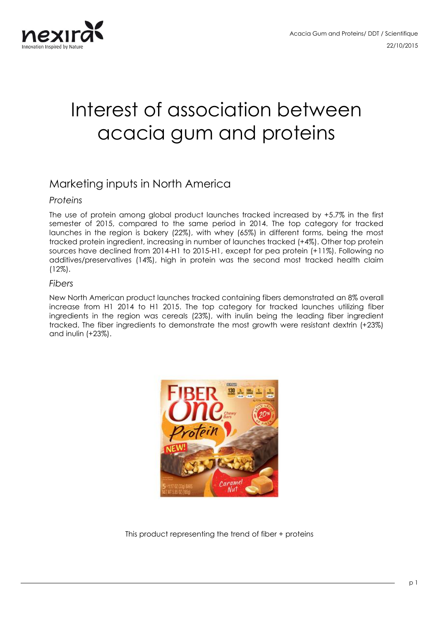

# Interest of association between acacia gum and proteins

## Marketing inputs in North America

#### *Proteins*

The use of protein among global product launches tracked increased by +5.7% in the first semester of 2015, compared to the same period in 2014. The top category for tracked launches in the region is bakery (22%), with whey (65%) in different forms, being the most tracked protein ingredient, increasing in number of launches tracked (+4%). Other top protein sources have declined from 2014-H1 to 2015-H1, except for pea protein (+11%). Following no additives/preservatives (14%), high in protein was the second most tracked health claim (12%).

#### *Fibers*

New North American product launches tracked containing fibers demonstrated an 8% overall increase from H1 2014 to H1 2015. The top category for tracked launches utilizing fiber ingredients in the region was cereals (23%), with inulin being the leading fiber ingredient tracked. The fiber ingredients to demonstrate the most growth were resistant dextrin (+23%) and inulin (+23%).



This product representing the trend of fiber + proteins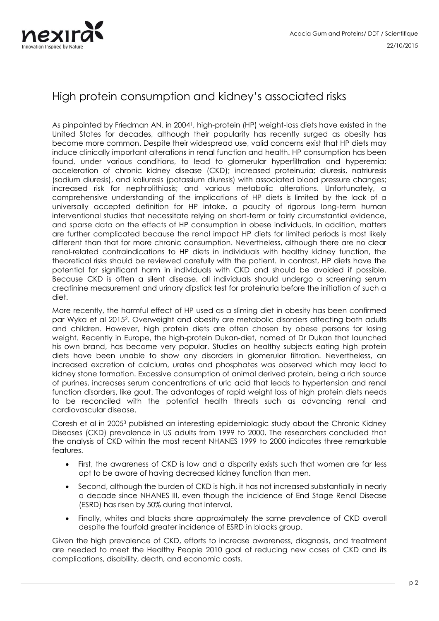

## High protein consumption and kidney's associated risks

As pinpointed by Friedman AN. in 20041, high-protein (HP) weight-loss diets have existed in the United States for decades, although their popularity has recently surged as obesity has become more common. Despite their widespread use, valid concerns exist that HP diets may induce clinically important alterations in renal function and health. HP consumption has been found, under various conditions, to lead to glomerular hyperfiltration and hyperemia; acceleration of chronic kidney disease (CKD); increased proteinuria; diuresis, natriuresis (sodium diuresis), and kaliuresis (potassium diuresis) with associated blood pressure changes; increased risk for nephrolithiasis; and various metabolic alterations. Unfortunately, a comprehensive understanding of the implications of HP diets is limited by the lack of a universally accepted definition for HP intake, a paucity of rigorous long-term human interventional studies that necessitate relying on short-term or fairly circumstantial evidence, and sparse data on the effects of HP consumption in obese individuals. In addition, matters are further complicated because the renal impact HP diets for limited periods is most likely different than that for more chronic consumption. Nevertheless, although there are no clear renal-related contraindications to HP diets in individuals with healthy kidney function, the theoretical risks should be reviewed carefully with the patient. In contrast, HP diets have the potential for significant harm in individuals with CKD and should be avoided if possible. Because CKD is often a silent disease, all individuals should undergo a screening serum creatinine measurement and urinary dipstick test for proteinuria before the initiation of such a diet.

More recently, the harmful effect of HP used as a sliming diet in obesity has been confirmed par Wyka et al 20152. Overweight and obesity are metabolic disorders affecting both adults and children. However, high protein diets are often chosen by obese persons for losing weight. Recently in Europe, the high-protein Dukan-diet, named of Dr Dukan that launched his own brand, has become very popular. Studies on healthy subjects eating high protein diets have been unable to show any disorders in glomerular filtration. Nevertheless, an increased excretion of calcium, urates and phosphates was observed which may lead to kidney stone formation. Excessive consumption of animal derived protein, being a rich source of purines, increases serum concentrations of uric acid that leads to hypertension and renal function disorders, like gout. The advantages of rapid weight loss of high protein diets needs to be reconciled with the potential health threats such as advancing renal and cardiovascular disease.

Coresh et al in 20053 published an interesting epidemiologic study about the Chronic Kidney Diseases (CKD) prevalence in US adults from 1999 to 2000. The researchers concluded that the analysis of CKD within the most recent NHANES 1999 to 2000 indicates three remarkable features.

- First, the awareness of CKD is low and a disparity exists such that women are far less apt to be aware of having decreased kidney function than men.
- Second, although the burden of CKD is high, it has not increased substantially in nearly a decade since NHANES III, even though the incidence of End Stage Renal Disease (ESRD) has risen by 50% during that interval.
- Finally, whites and blacks share approximately the same prevalence of CKD overall despite the fourfold greater incidence of ESRD in blacks group.

Given the high prevalence of CKD, efforts to increase awareness, diagnosis, and treatment are needed to meet the Healthy People 2010 goal of reducing new cases of CKD and its complications, disability, death, and economic costs.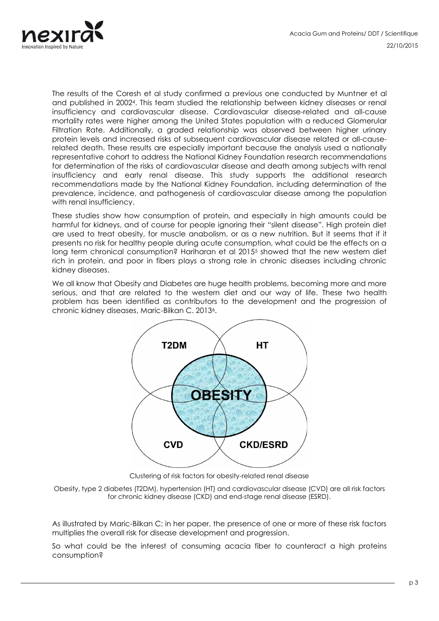

The results of the Coresh et al study confirmed a previous one conducted by Muntner et al and published in 20024. This team studied the relationship between kidney diseases or renal insufficiency and cardiovascular disease. Cardiovascular disease-related and all-cause mortality rates were higher among the United States population with a reduced Glomerular Filtration Rate. Additionally, a graded relationship was observed between higher urinary protein levels and increased risks of subsequent cardiovascular disease related or all-causerelated death. These results are especially important because the analysis used a nationally representative cohort to address the National Kidney Foundation research recommendations for determination of the risks of cardiovascular disease and death among subjects with renal insufficiency and early renal disease. This study supports the additional research recommendations made by the National Kidney Foundation, including determination of the prevalence, incidence, and pathogenesis of cardiovascular disease among the population with renal insufficiency.

These studies show how consumption of protein, and especially in high amounts could be harmful for kidneys, and of course for people ignoring their "silent disease". High protein diet are used to treat obesity, for muscle anabolism, or as a new nutrition. But it seems that if it presents no risk for healthy people during acute consumption, what could be the effects on a long term chronical consumption? Hariharan et al 2015<sup>5</sup> showed that the new western diet rich in protein, and poor in fibers plays a strong role in chronic diseases including chronic kidney diseases.

We all know that Obesity and Diabetes are huge health problems, becoming more and more serious, and that are related to the western diet and our way of life. These two health problem has been identified as contributors to the development and the progression of chronic kidney diseases, Maric-Bilkan C. 20136.



Clustering of risk factors for obesity-related renal disease

Obesity, type 2 diabetes (T2DM), hypertension (HT) and cardiovascular disease (CVD) are all risk factors for chronic kidney disease (CKD) and end-stage renal disease (ESRD).

As illustrated by Maric-Bilkan C; in her paper, the presence of one or more of these risk factors multiplies the overall risk for disease development and progression.

So what could be the interest of consuming acacia fiber to counteract a high proteins consumption?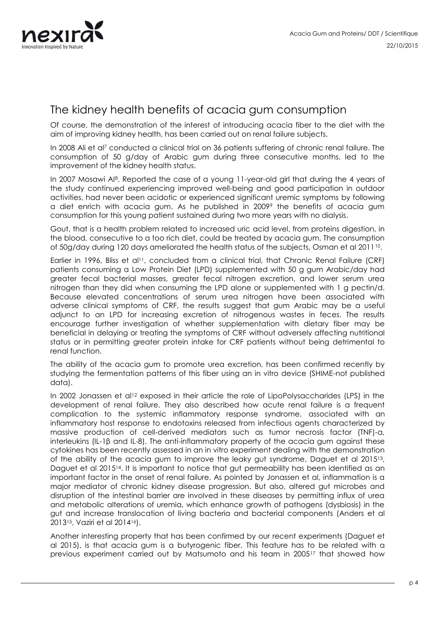

## The kidney health benefits of acacia gum consumption

Of course, the demonstration of the interest of introducing acacia fiber to the diet with the aim of improving kidney health, has been carried out on renal failure subjects.

In 2008 Ali et al<sup>7</sup> conducted a clinical trial on 36 patients suffering of chronic renal failure. The consumption of 50 g/day of Arabic gum during three consecutive months, led to the improvement of the kidney health status.

In 2007 Mosawi AI<sup>8</sup>. Reported the case of a young 11-year-old girl that during the 4 years of the study continued experiencing improved well-being and good participation in outdoor activities, had never been acidotic or experienced significant uremic symptoms by following a diet enrich with acacia gum. As he published in 2009<sup>9</sup> the benefits of acacia gum consumption for this young patient sustained during two more years with no dialysis.

Gout, that is a health problem related to increased uric acid level, from proteins digestion, in the blood, consecutive to a too rich diet, could be treated by acacia gum. The consumption of 50g/day during 120 days ameliorated the health status of the subjects, Osman et al 2011<sup>10</sup>.

Earlier in 1996, Bliss et al<sup>11</sup>, concluded from a clinical trial, that Chronic Renal Failure (CRF) patients consuming a Low Protein Diet (LPD) supplemented with 50 g gum Arabic/day had greater fecal bacterial masses, greater fecal nitrogen excretion, and lower serum urea nitrogen than they did when consuming the LPD alone or supplemented with 1 g pectin/d. Because elevated concentrations of serum urea nitrogen have been associated with adverse clinical symptoms of CRF, the results suggest that gum Arabic may be a useful adjunct to an LPD for increasing excretion of nitrogenous wastes in feces. The results encourage further investigation of whether supplementation with dietary fiber may be beneficial in delaying or treating the symptoms of CRF without adversely affecting nutritional status or in permitting greater protein intake for CRF patients without being detrimental to renal function.

The ability of the acacia gum to promote urea excretion, has been confirmed recently by studying the fermentation patterns of this fiber using an in vitro device (SHIME-not published data).

In 2002 Jonassen et al<sup>12</sup> exposed in their article the role of LipoPolysaccharides (LPS) in the development of renal failure. They also described how acute renal failure is a frequent complication to the systemic inflammatory response syndrome, associated with an inflammatory host response to endotoxins released from infectious agents characterized by massive production of cell-derived mediators such as tumor necrosis factor (TNF)-α, interleukins (IL-1β and IL-8). The anti-inflammatory property of the acacia gum against these cytokines has been recently assessed in an in vitro experiment dealing with the demonstration of the ability of the acacia gum to improve the leaky gut syndrome, Daguet et al 201513, Daguet et al 2015<sup>14</sup>. It is important to notice that gut permeability has been identified as an important factor in the onset of renal failure. As pointed by Jonassen et al, inflammation is a major mediator of chronic kidney disease progression. But also, altered gut microbes and disruption of the intestinal barrier are involved in these diseases by permitting influx of urea and metabolic alterations of uremia, which enhance growth of pathogens (dysbiosis) in the gut and increase translocation of living bacteria and bacterial components (Anders et al 201315, Vaziri et al 201416).

Another interesting property that has been confirmed by our recent experiments (Daguet et al 2015), is that acacia gum is a butyrogenic fiber. This feature has to be related with a previous experiment carried out by Matsumoto and his team in 2005<sup>17</sup> that showed how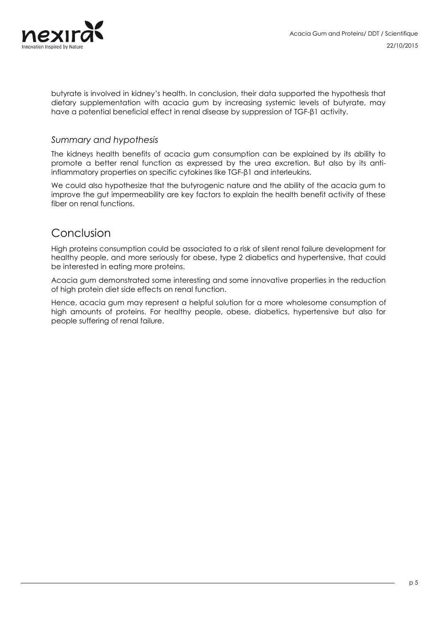

butyrate is involved in kidney's health. In conclusion, their data supported the hypothesis that dietary supplementation with acacia gum by increasing systemic levels of butyrate, may have a potential beneficial effect in renal disease by suppression of TGF-β1 activity.

#### *Summary and hypothesis*

The kidneys health benefits of acacia gum consumption can be explained by its ability to promote a better renal function as expressed by the urea excretion. But also by its antiinflammatory properties on specific cytokines like TGF-β1 and interleukins.

We could also hypothesize that the butyrogenic nature and the ability of the acacia gum to improve the gut impermeability are key factors to explain the health benefit activity of these fiber on renal functions.

### Conclusion

High proteins consumption could be associated to a risk of silent renal failure development for healthy people, and more seriously for obese, type 2 diabetics and hypertensive, that could be interested in eating more proteins.

Acacia gum demonstrated some interesting and some innovative properties in the reduction of high protein diet side effects on renal function.

Hence, acacia gum may represent a helpful solution for a more wholesome consumption of high amounts of proteins. For healthy people, obese, diabetics, hypertensive but also for people suffering of renal failure.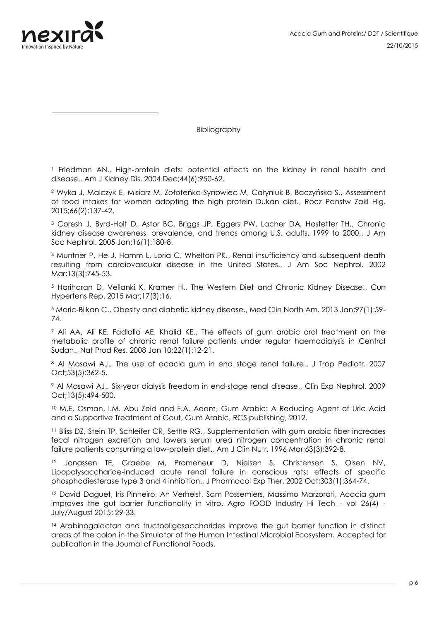

Bibliography

<sup>1</sup> Friedman AN., High-protein diets: potential effects on the kidney in renal health and disease., Am J Kidney Dis. 2004 Dec;44(6):950-62.

<sup>2</sup> Wyka J, Malczyk E, Misiarz M, Zołoteńka-Synowiec M, Całyniuk B, Baczyńska S., Assessment of food intakes for women adopting the high protein Dukan diet., Rocz Panstw Zakl Hig. 2015;66(2):137-42.

<sup>3</sup> Coresh J, Byrd-Holt D, Astor BC, Briggs JP, Eggers PW, Lacher DA, Hostetter TH., Chronic kidney disease awareness, prevalence, and trends among U.S. adults, 1999 to 2000., J Am Soc Nephrol. 2005 Jan;16(1):180-8.

<sup>4</sup> Muntner P, He J, Hamm L, Loria C, Whelton PK., Renal insufficiency and subsequent death resulting from cardiovascular disease in the United States., J Am Soc Nephrol. 2002 Mar;13(3):745-53.

<sup>5</sup> Hariharan D, Vellanki K, Kramer H., The Western Diet and Chronic Kidney Disease., Curr Hypertens Rep. 2015 Mar;17(3):16.

<sup>6</sup> Maric-Bilkan C., Obesity and diabetic kidney disease., Med Clin North Am. 2013 Jan;97(1):59- 74.

 $<sup>7</sup>$  Ali AA, Ali KE, Fadlalla AE, Khalid KE., The effects of gum arabic oral treatment on the</sup> metabolic profile of chronic renal failure patients under regular haemodialysis in Central Sudan., Nat Prod Res. 2008 Jan 10;22(1):12-21.

<sup>8</sup> Al Mosawi AJ., The use of acacia gum in end stage renal failure., J Trop Pediatr. 2007 Oct;53(5):362-5.

<sup>9</sup> Al Mosawi AJ., Six-year dialysis freedom in end-stage renal disease., Clin Exp Nephrol. 2009 Oct;13(5):494-500.

<sup>10</sup> M.E. Osman, I.M. Abu Zeid and F.A. Adam, Gum Arabic: A Reducing Agent of Uric Acid and a Supportive Treatment of Gout, Gum Arabic, RCS publishing, 2012.

<sup>11</sup> Bliss DZ, Stein TP, Schleifer CR, Settle RG., Supplementation with gum arabic fiber increases fecal nitrogen excretion and lowers serum urea nitrogen concentration in chronic renal failure patients consuming a low-protein diet., Am J Clin Nutr. 1996 Mar;63(3):392-8.

<sup>12</sup> Jonassen TE, Graebe M, Promeneur D, Nielsen S, Christensen S, Olsen NV, Lipopolysaccharide-induced acute renal failure in conscious rats: effects of specific phosphodiesterase type 3 and 4 inhibition., J Pharmacol Exp Ther. 2002 Oct;303(1):364-74.

<sup>13</sup> David Daguet, Iris Pinheiro, An Verhelst, Sam Possemiers, Massimo Marzorati, Acacia gum improves the gut barrier functionality in vitro, Agro FOOD Industry Hi Tech - vol 26(4) - July/August 2015: 29-33.

<sup>14</sup> Arabinogalactan and fructooligosaccharides improve the gut barrier function in distinct areas of the colon in the Simulator of the Human Intestinal Microbial Ecosystem. Accepted for publication in the Journal of Functional Foods.